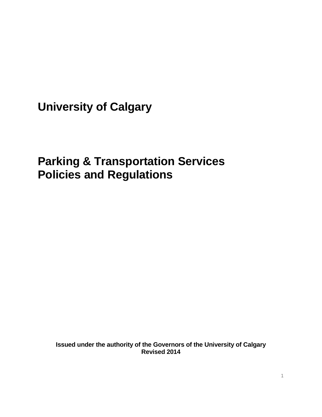**University of Calgary**

# **Parking & Transportation Services Policies and Regulations**

**Issued under the authority of the Governors of the University of Calgary Revised 2014**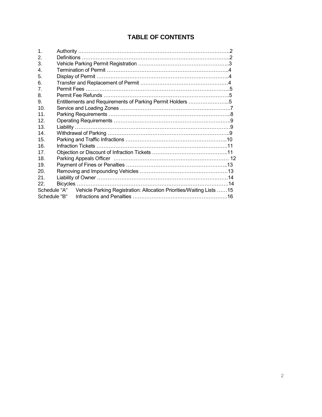## **TABLE OF CONTENTS**

| 1.               |                                                                                   |  |
|------------------|-----------------------------------------------------------------------------------|--|
| 2.               |                                                                                   |  |
| 3.               |                                                                                   |  |
| 4.               |                                                                                   |  |
| 5.               |                                                                                   |  |
| 6.               |                                                                                   |  |
| $\mathbf{7}$ .   |                                                                                   |  |
| 8.               |                                                                                   |  |
| 9.               | Entitlements and Requirements of Parking Permit Holders 5                         |  |
| 10 <sub>1</sub>  |                                                                                   |  |
| 11               |                                                                                   |  |
| 12 <sup>°</sup>  |                                                                                   |  |
| 13 <sup>13</sup> |                                                                                   |  |
| 14               |                                                                                   |  |
| 15.              |                                                                                   |  |
| 16               |                                                                                   |  |
| 17               |                                                                                   |  |
| 18               |                                                                                   |  |
| 19.              |                                                                                   |  |
| 20.              |                                                                                   |  |
| 21               |                                                                                   |  |
| 22.              |                                                                                   |  |
|                  | Schedule "A" Vehicle Parking Registration: Allocation Priorities/Waiting Lists 15 |  |
|                  | Schedule "B"                                                                      |  |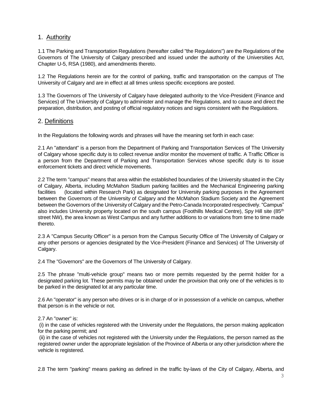## 1. Authority

1.1 The Parking and Transportation Regulations (hereafter called "the Regulations") are the Regulations of the Governors of The University of Calgary prescribed and issued under the authority of the Universities Act, Chapter U-5, RSA (1980), and amendments thereto.

1.2 The Regulations herein are for the control of parking, traffic and transportation on the campus of The University of Calgary and are in effect at all times unless specific exceptions are posted.

1.3 The Governors of The University of Calgary have delegated authority to the Vice-President (Finance and Services) of The University of Calgary to administer and manage the Regulations, and to cause and direct the preparation, distribution, and posting of official regulatory notices and signs consistent with the Regulations.

## 2. Definitions

In the Regulations the following words and phrases will have the meaning set forth in each case:

2.1 An "attendant" is a person from the Department of Parking and Transportation Services of The University of Calgary whose specific duty is to collect revenue and/or monitor the movement of traffic. A Traffic Officer is a person from the Department of Parking and Transportation Services whose specific duty is to issue enforcement tickets and direct vehicle movements.

2.2 The term "campus" means that area within the established boundaries of the University situated in the City of Calgary, Alberta, including McMahon Stadium parking facilities and the Mechanical Engineering parking facilities (located within Research Park) as designated for University parking purposes in the Agreement between the Governors of the University of Calgary and the McMahon Stadium Society and the Agreement between the Governors of the University of Calgary and the Petro-Canada Incorporated respectively. "Campus" also includes University property located on the south campus (Foothills Medical Centre), Spy Hill site (85<sup>th</sup>) street NW), the area known as West Campus and any further additions to or variations from time to time made thereto.

2.3 A "Campus Security Officer" is a person from the Campus Security Office of The University of Calgary or any other persons or agencies designated by the Vice-President (Finance and Services) of The University of Calgary.

2.4 The "Governors" are the Governors of The University of Calgary.

2.5 The phrase "multi-vehicle group" means two or more permits requested by the permit holder for a designated parking lot. These permits may be obtained under the provision that only one of the vehicles is to be parked in the designated lot at any particular time.

2.6 An "operator" is any person who drives or is in charge of or in possession of a vehicle on campus, whether that person is in the vehicle or not.

#### 2.7 An "owner" is:

(i) in the case of vehicles registered with the University under the Regulations, the person making application for the parking permit; and

(ii) in the case of vehicles not registered with the University under the Regulations, the person named as the registered owner under the appropriate legislation of the Province of Alberta or any other jurisdiction where the vehicle is registered.

2.8 The term "parking" means parking as defined in the traffic by-laws of the City of Calgary, Alberta, and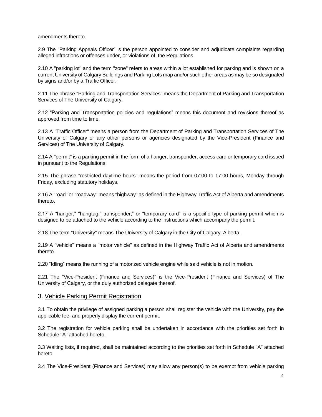amendments thereto.

2.9 The "Parking Appeals Officer" is the person appointed to consider and adjudicate complaints regarding alleged infractions or offenses under, or violations of, the Regulations.

2.10 A "parking lot" and the term "zone" refers to areas within a lot established for parking and is shown on a current University of Calgary Buildings and Parking Lots map and/or such other areas as may be so designated by signs and/or by a Traffic Officer.

2.11 The phrase "Parking and Transportation Services" means the Department of Parking and Transportation Services of The University of Calgary.

2.12 "Parking and Transportation policies and regulations" means this document and revisions thereof as approved from time to time.

2.13 A "Traffic Officer" means a person from the Department of Parking and Transportation Services of The University of Calgary or any other persons or agencies designated by the Vice-President (Finance and Services) of The University of Calgary.

2.14 A "permit" is a parking permit in the form of a hanger, transponder, access card or temporary card issued in pursuant to the Regulations.

2.15 The phrase "restricted daytime hours" means the period from 07:00 to 17:00 hours, Monday through Friday, excluding statutory holidays.

2.16 A "road" or "roadway" means "highway" as defined in the Highway Traffic Act of Alberta and amendments thereto.

2.17 A "hanger," "hangtag," transponder," or "temporary card" is a specific type of parking permit which is designed to be attached to the vehicle according to the instructions which accompany the permit.

2.18 The term "University" means The University of Calgary in the City of Calgary, Alberta.

2.19 A "vehicle" means a "motor vehicle" as defined in the Highway Traffic Act of Alberta and amendments thereto.

2.20 "Idling" means the running of a motorized vehicle engine while said vehicle is not in motion.

2.21 The "Vice-President (Finance and Services)" is the Vice-President (Finance and Services) of The University of Calgary, or the duly authorized delegate thereof.

#### 3. Vehicle Parking Permit Registration

3.1 To obtain the privilege of assigned parking a person shall register the vehicle with the University, pay the applicable fee, and properly display the current permit.

3.2 The registration for vehicle parking shall be undertaken in accordance with the priorities set forth in Schedule "A" attached hereto.

3.3 Waiting lists, if required, shall be maintained according to the priorities set forth in Schedule "A" attached hereto.

3.4 The Vice-President (Finance and Services) may allow any person(s) to be exempt from vehicle parking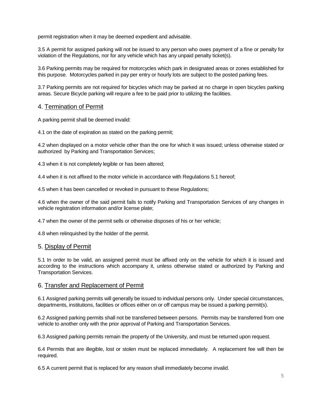permit registration when it may be deemed expedient and advisable.

3.5 A permit for assigned parking will not be issued to any person who owes payment of a fine or penalty for violation of the Regulations, nor for any vehicle which has any unpaid penalty ticket(s).

3.6 Parking permits may be required for motorcycles which park in designated areas or zones established for this purpose. Motorcycles parked in pay per entry or hourly lots are subject to the posted parking fees.

3.7 Parking permits are not required for bicycles which may be parked at no charge in open bicycles parking areas. Secure Bicycle parking will require a fee to be paid prior to utilizing the facilities.

#### 4. Termination of Permit

A parking permit shall be deemed invalid:

4.1 on the date of expiration as stated on the parking permit;

4.2 when displayed on a motor vehicle other than the one for which it was issued; unless otherwise stated or authorized by Parking and Transportation Services;

4.3 when it is not completely legible or has been altered;

4.4 when it is not affixed to the motor vehicle in accordance with Regulations 5.1 hereof;

4.5 when it has been cancelled or revoked in pursuant to these Regulations;

4.6 when the owner of the said permit fails to notify Parking and Transportation Services of any changes in vehicle registration information and/or license plate;

4.7 when the owner of the permit sells or otherwise disposes of his or her vehicle;

4.8 when relinquished by the holder of the permit.

#### 5. Display of Permit

5.1 In order to be valid, an assigned permit must be affixed only on the vehicle for which it is issued and according to the instructions which accompany it, unless otherwise stated or authorized by Parking and Transportation Services.

#### 6. Transfer and Replacement of Permit

6.1 Assigned parking permits will generally be issued to individual persons only. Under special circumstances, departments, institutions, facilities or offices either on or off campus may be issued a parking permit(s).

6.2 Assigned parking permits shall not be transferred between persons. Permits may be transferred from one vehicle to another only with the prior approval of Parking and Transportation Services.

6.3 Assigned parking permits remain the property of the University, and must be returned upon request.

6.4 Permits that are illegible, lost or stolen must be replaced immediately. A replacement fee will then be required.

6.5 A current permit that is replaced for any reason shall immediately become invalid.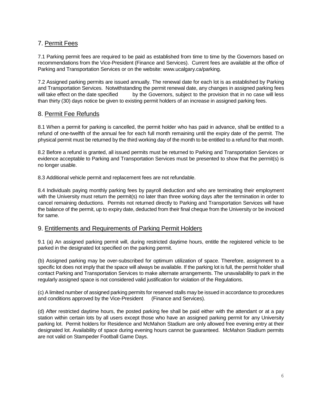## 7. Permit Fees

7.1 Parking permit fees are required to be paid as established from time to time by the Governors based on recommendations from the Vice-President (Finance and Services). Current fees are available at the office of Parking and Transportation Services or on the website: www.ucalgary.ca/parking.

7.2 Assigned parking permits are issued annually. The renewal date for each lot is as established by Parking and Transportation Services. Notwithstanding the permit renewal date, any changes in assigned parking fees will take effect on the date specified by the Governors, subject to the provision that in no case will less than thirty (30) days notice be given to existing permit holders of an increase in assigned parking fees.

## 8. Permit Fee Refunds

8.1 When a permit for parking is cancelled, the permit holder who has paid in advance, shall be entitled to a refund of one-twelfth of the annual fee for each full month remaining until the expiry date of the permit. The physical permit must be returned by the third working day of the month to be entitled to a refund for that month.

8.2 Before a refund is granted, all issued permits must be returned to Parking and Transportation Services or evidence acceptable to Parking and Transportation Services must be presented to show that the permit(s) is no longer usable.

8.3 Additional vehicle permit and replacement fees are not refundable.

8.4 Individuals paying monthly parking fees by payroll deduction and who are terminating their employment with the University must return the permit(s) no later than three working days after the termination in order to cancel remaining deductions. Permits not returned directly to Parking and Transportation Services will have the balance of the permit, up to expiry date, deducted from their final cheque from the University or be invoiced for same.

## 9. Entitlements and Requirements of Parking Permit Holders

9.1 (a) An assigned parking permit will, during restricted daytime hours, entitle the registered vehicle to be parked in the designated lot specified on the parking permit.

(b) Assigned parking may be over-subscribed for optimum utilization of space. Therefore, assignment to a specific lot does not imply that the space will always be available. If the parking lot is full, the permit holder shall contact Parking and Transportation Services to make alternate arrangements. The unavailability to park in the regularly assigned space is not considered valid justification for violation of the Regulations.

(c) A limited number of assigned parking permits for reserved stalls may be issued in accordance to procedures and conditions approved by the Vice-President (Finance and Services).

(d) After restricted daytime hours, the posted parking fee shall be paid either with the attendant or at a pay station within certain lots by all users except those who have an assigned parking permit for any University parking lot. Permit holders for Residence and McMahon Stadium are only allowed free evening entry at their designated lot. Availability of space during evening hours cannot be guaranteed. McMahon Stadium permits are not valid on Stampeder Football Game Days.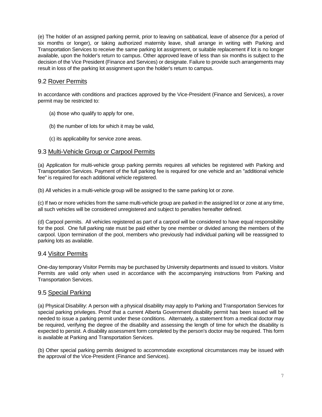(e) The holder of an assigned parking permit, prior to leaving on sabbatical, leave of absence (for a period of six months or longer), or taking authorized maternity leave, shall arrange in writing with Parking and Transportation Services to receive the same parking lot assignment, or suitable replacement if lot is no longer available, upon the holder's return to campus. Other approved leave of less than six months is subject to the decision of the Vice President (Finance and Services) or designate. Failure to provide such arrangements may result in loss of the parking lot assignment upon the holder's return to campus.

## 9.2 Rover Permits

In accordance with conditions and practices approved by the Vice-President (Finance and Services), a rover permit may be restricted to:

- (a) those who qualify to apply for one,
- (b) the number of lots for which it may be valid,
- (c) its applicability for service zone areas.

## 9.3 Multi-Vehicle Group or Carpool Permits

(a) Application for multi-vehicle group parking permits requires all vehicles be registered with Parking and Transportation Services. Payment of the full parking fee is required for one vehicle and an "additional vehicle fee" is required for each additional vehicle registered.

(b) All vehicles in a multi-vehicle group will be assigned to the same parking lot or zone.

(c) If two or more vehicles from the same multi-vehicle group are parked in the assigned lot or zone at any time, all such vehicles will be considered unregistered and subject to penalties hereafter defined.

(d) Carpool permits. All vehicles registered as part of a carpool will be considered to have equal responsibility for the pool. One full parking rate must be paid either by one member or divided among the members of the carpool. Upon termination of the pool, members who previously had individual parking will be reassigned to parking lots as available.

## 9.4 Visitor Permits

One-day temporary Visitor Permits may be purchased by University departments and issued to visitors. Visitor Permits are valid only when used in accordance with the accompanying instructions from Parking and Transportation Services.

## 9.5 Special Parking

(a) Physical Disability: A person with a physical disability may apply to Parking and Transportation Services for special parking privileges. Proof that a current Alberta Government disability permit has been issued will be needed to issue a parking permit under these conditions. Alternately, a statement from a medical doctor may be required, verifying the degree of the disability and assessing the length of time for which the disability is expected to persist. A disability assessment form completed by the person's doctor may be required. This form is available at Parking and Transportation Services.

(b) Other special parking permits designed to accommodate exceptional circumstances may be issued with the approval of the Vice-President (Finance and Services).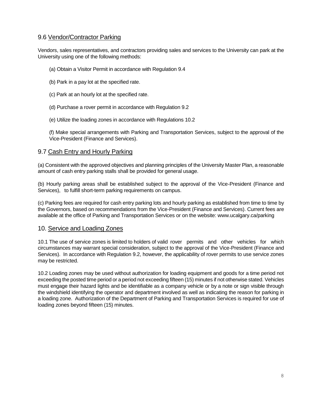## 9.6 Vendor/Contractor Parking

Vendors, sales representatives, and contractors providing sales and services to the University can park at the University using one of the following methods:

- (a) Obtain a Visitor Permit in accordance with Regulation 9.4
- (b) Park in a pay lot at the specified rate.
- (c) Park at an hourly lot at the specified rate.
- (d) Purchase a rover permit in accordance with Regulation 9.2
- (e) Utilize the loading zones in accordance with Regulations 10.2

(f) Make special arrangements with Parking and Transportation Services, subject to the approval of the Vice-President (Finance and Services).

## 9.7 Cash Entry and Hourly Parking

(a) Consistent with the approved objectives and planning principles of the University Master Plan, a reasonable amount of cash entry parking stalls shall be provided for general usage.

(b) Hourly parking areas shall be established subject to the approval of the Vice-President (Finance and Services), to fulfill short-term parking requirements on campus.

(c) Parking fees are required for cash entry parking lots and hourly parking as established from time to time by the Governors, based on recommendations from the Vice-President (Finance and Services). Current fees are available at the office of Parking and Transportation Services or on the website: www.ucalgary.ca/parking

#### 10. Service and Loading Zones

10.1 The use of service zones is limited to holders of valid rover permits and other vehicles for which circumstances may warrant special consideration, subject to the approval of the Vice-President (Finance and Services). In accordance with Regulation 9.2, however, the applicability of rover permits to use service zones may be restricted.

10.2 Loading zones may be used without authorization for loading equipment and goods for a time period not exceeding the posted time period or a period not exceeding fifteen (15) minutes if not otherwise stated. Vehicles must engage their hazard lights and be identifiable as a company vehicle or by a note or sign visible through the windshield identifying the operator and department involved as well as indicating the reason for parking in a loading zone. Authorization of the Department of Parking and Transportation Services is required for use of loading zones beyond fifteen (15) minutes.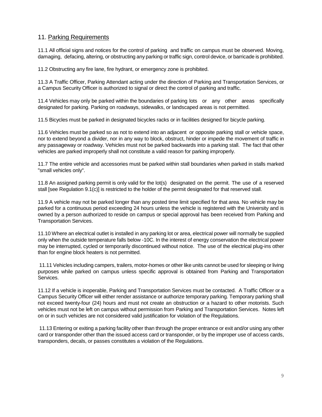## 11. Parking Requirements

11.1 All official signs and notices for the control of parking and traffic on campus must be observed. Moving, damaging, defacing, altering, or obstructing any parking or traffic sign, control device, or barricade is prohibited.

11.2 Obstructing any fire lane, fire hydrant, or emergency zone is prohibited.

11.3 A Traffic Officer, Parking Attendant acting under the direction of Parking and Transportation Services, or a Campus Security Officer is authorized to signal or direct the control of parking and traffic.

11.4 Vehicles may only be parked within the boundaries of parking lots or any other areas specifically designated for parking. Parking on roadways, sidewalks, or landscaped areas is not permitted.

11.5 Bicycles must be parked in designated bicycles racks or in facilities designed for bicycle parking.

11.6 Vehicles must be parked so as not to extend into an adjacent or opposite parking stall or vehicle space, nor to extend beyond a divider, nor in any way to block, obstruct, hinder or impede the movement of traffic in any passageway or roadway. Vehicles must not be parked backwards into a parking stall. The fact that other vehicles are parked improperly shall not constitute a valid reason for parking improperly.

11.7 The entire vehicle and accessories must be parked within stall boundaries when parked in stalls marked "small vehicles only".

11.8 An assigned parking permit is only valid for the lot(s) designated on the permit. The use of a reserved stall [see Regulation 9.1(c)] is restricted to the holder of the permit designated for that reserved stall.

11.9 A vehicle may not be parked longer than any posted time limit specified for that area. No vehicle may be parked for a continuous period exceeding 24 hours unless the vehicle is registered with the University and is owned by a person authorized to reside on campus or special approval has been received from Parking and Transportation Services.

11.10 Where an electrical outlet is installed in any parking lot or area, electrical power will normally be supplied only when the outside temperature falls below -10C. In the interest of energy conservation the electrical power may be interrupted, cycled or temporarily discontinued without notice. The use of the electrical plug-ins other than for engine block heaters is not permitted.

11.11 Vehicles including campers, trailers, motor-homes or other like units cannot be used for sleeping or living purposes while parked on campus unless specific approval is obtained from Parking and Transportation Services.

11.12 If a vehicle is inoperable, Parking and Transportation Services must be contacted. A Traffic Officer or a Campus Security Officer will either render assistance or authorize temporary parking. Temporary parking shall not exceed twenty-four (24) hours and must not create an obstruction or a hazard to other motorists. Such vehicles must not be left on campus without permission from Parking and Transportation Services. Notes left on or in such vehicles are not considered valid justification for violation of the Regulations.

11.13 Entering or exiting a parking facility other than through the proper entrance or exit and/or using any other card or transponder other than the issued access card or transponder, or by the improper use of access cards, transponders, decals, or passes constitutes a violation of the Regulations.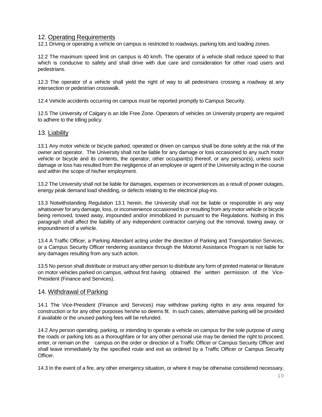## 12. Operating Requirements

12.1 Driving or operating a vehicle on campus is restricted to roadways, parking lots and loading zones.

12.2 The maximum speed limit on campus is 40 km/h. The operator of a vehicle shall reduce speed to that which is conducive to safety and shall drive with due care and consideration for other road users and pedestrians.

12.3 The operator of a vehicle shall yield the right of way to all pedestrians crossing a roadway at any intersection or pedestrian crosswalk.

12.4 Vehicle accidents occurring on campus must be reported promptly to Campus Security.

12.5 The University of Calgary is an Idle Free Zone. Operators of vehicles on University property are required to adhere to the Idling policy.

#### 13. Liability

13.1 Any motor vehicle or bicycle parked, operated or driven on campus shall be done solely at the risk of the owner and operator. The University shall not be liable for any damage or loss occasioned to any such motor vehicle or bicycle and its contents, the operator, other occupant(s) thereof, or any person(s), unless such damage or loss has resulted from the negligence of an employee or agent of the University acting in the course and within the scope of his/her employment.

13.2 The University shall not be liable for damages, expenses or inconveniences as a result of power outages, energy peak demand load shedding, or defects relating to the electrical plug-ins.

13.3 Notwithstanding Regulation 13.1 herein, the University shall not be liable or responsible in any way whatsoever for any damage, loss, or inconvenience occasioned to or resulting from any motor vehicle or bicycle being removed, towed away, impounded and/or immobilized in pursuant to the Regulations. Nothing in this paragraph shall affect the liability of any independent contractor carrying out the removal, towing away, or impoundment of a vehicle.

13.4 A Traffic Officer, a Parking Attendant acting under the direction of Parking and Transportation Services, or a Campus Security Officer rendering assistance through the Motorist Assistance Program is not liable for any damages resulting from any such action.

13.5 No person shall distribute or instruct any other person to distribute any form of printed material or literature on motor vehicles parked on campus, without first having obtained the written permission of the Vice-President (Finance and Services).

#### 14. Withdrawal of Parking

14.1 The Vice-President (Finance and Services) may withdraw parking rights in any area required for construction or for any other purposes he/she so deems fit. In such cases, alternative parking will be provided if available or the unused parking fees will be refunded.

14.2 Any person operating, parking, or intending to operate a vehicle on campus for the sole purpose of using the roads or parking lots as a thoroughfare or for any other personal use may be denied the right to proceed, enter, or remain on the campus on the order or direction of a Traffic Officer or Campus Security Officer and shall leave immediately by the specified route and exit as ordered by a Traffic Officer or Campus Security Officer.

14.3 In the event of a fire, any other emergency situation, or where it may be otherwise considered necessary,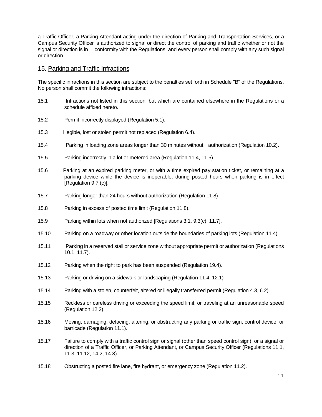a Traffic Officer, a Parking Attendant acting under the direction of Parking and Transportation Services, or a Campus Security Officer is authorized to signal or direct the control of parking and traffic whether or not the signal or direction is in conformity with the Regulations, and every person shall comply with any such signal or direction.

#### 15. Parking and Traffic Infractions

The specific infractions in this section are subject to the penalties set forth in Schedule "B" of the Regulations. No person shall commit the following infractions:

- 15.1 Infractions not listed in this section, but which are contained elsewhere in the Regulations or a schedule affixed hereto.
- 15.2 Permit incorrectly displayed (Regulation 5.1).
- 15.3 Illegible, lost or stolen permit not replaced (Regulation 6.4).
- 15.4 Parking in loading zone areas longer than 30 minutes without authorization (Regulation 10.2).
- 15.5 Parking incorrectly in a lot or metered area (Regulation 11.4, 11.5).
- 15.6 Parking at an expired parking meter, or with a time expired pay station ticket, or remaining at a parking device while the device is inoperable, during posted hours when parking is in effect [Regulation 9.7 (c)].
- 15.7 Parking longer than 24 hours without authorization (Regulation 11.8).
- 15.8 Parking in excess of posted time limit (Regulation 11.8).
- 15.9 Parking within lots when not authorized [Regulations 3.1, 9.3(c), 11.7].
- 15.10 Parking on a roadway or other location outside the boundaries of parking lots (Regulation 11.4).
- 15.11 Parking in a reserved stall or service zone without appropriate permit or authorization (Regulations 10.1, 11.7).
- 15.12 Parking when the right to park has been suspended (Regulation 19.4).
- 15.13 Parking or driving on a sidewalk or landscaping (Regulation 11.4, 12.1)
- 15.14 Parking with a stolen, counterfeit, altered or illegally transferred permit (Regulation 4.3, 6.2).
- 15.15 Reckless or careless driving or exceeding the speed limit, or traveling at an unreasonable speed (Regulation 12.2).
- 15.16 Moving, damaging, defacing, altering, or obstructing any parking or traffic sign, control device, or barricade (Regulation 11.1).
- 15.17 Failure to comply with a traffic control sign or signal (other than speed control sign), or a signal or direction of a Traffic Officer, or Parking Attendant, or Campus Security Officer (Regulations 11.1, 11.3, 11.12, 14.2, 14.3).
- 15.18 Obstructing a posted fire lane, fire hydrant, or emergency zone (Regulation 11.2).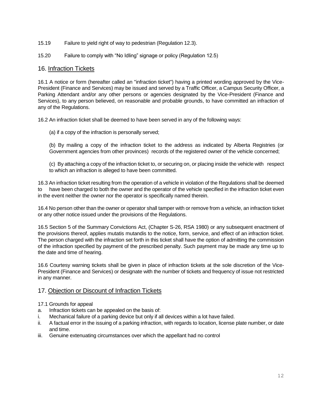- 15.19 Failure to yield right of way to pedestrian (Regulation 12.3).
- 15.20 Failure to comply with "No Idling" signage or policy (Regulation 12.5)

#### 16. Infraction Tickets

16.1 A notice or form (hereafter called an "infraction ticket") having a printed wording approved by the Vice-President (Finance and Services) may be issued and served by a Traffic Officer, a Campus Security Officer, a Parking Attendant and/or any other persons or agencies designated by the Vice-President (Finance and Services), to any person believed, on reasonable and probable grounds, to have committed an infraction of any of the Regulations.

16.2 An infraction ticket shall be deemed to have been served in any of the following ways:

(a) if a copy of the infraction is personally served;

(b) By mailing a copy of the infraction ticket to the address as indicated by Alberta Registries (or Government agencies from other provinces) records of the registered owner of the vehicle concerned;

(c) By attaching a copy of the infraction ticket to, or securing on, or placing inside the vehicle with respect to which an infraction is alleged to have been committed.

16.3 An infraction ticket resulting from the operation of a vehicle in violation of the Regulations shall be deemed to have been charged to both the owner and the operator of the vehicle specified in the infraction ticket even in the event neither the owner nor the operator is specifically named therein.

16.4 No person other than the owner or operator shall tamper with or remove from a vehicle, an infraction ticket or any other notice issued under the provisions of the Regulations.

16.5 Section 5 of the Summary Convictions Act, (Chapter S-26, RSA 1980) or any subsequent enactment of the provisions thereof, applies mutatis mutandis to the notice, form, service, and effect of an infraction ticket. The person charged with the infraction set forth in this ticket shall have the option of admitting the commission of the infraction specified by payment of the prescribed penalty. Such payment may be made any time up to the date and time of hearing.

16.6 Courtesy warning tickets shall be given in place of infraction tickets at the sole discretion of the Vice-President (Finance and Services) or designate with the number of tickets and frequency of issue not restricted in any manner.

## 17. Objection or Discount of Infraction Tickets

- 17.1 Grounds for appeal
- a. Infraction tickets can be appealed on the basis of:
- i. Mechanical failure of a parking device but only if all devices within a lot have failed.
- ii. A factual error in the issuing of a parking infraction, with regards to location, license plate number, or date and time.
- iii. Genuine extenuating circumstances over which the appellant had no control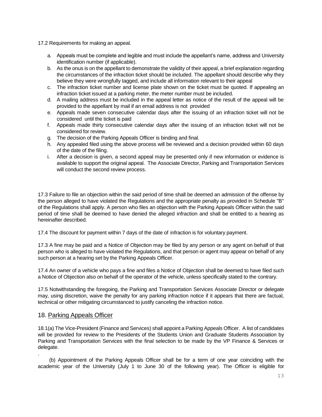17.2 Requirements for making an appeal.

- a. Appeals must be complete and legible and must include the appellant's name, address and University identification number (if applicable).
- b. As the onus is on the appellant to demonstrate the validity of their appeal, a brief explanation regarding the circumstances of the infraction ticket should be included. The appellant should describe why they believe they were wrongfully tagged, and include all information relevant to their appeal
- c. The infraction ticket number and license plate shown on the ticket must be quoted. If appealing an infraction ticket issued at a parking meter, the meter number must be included.
- d. A mailing address must be included in the appeal letter as notice of the result of the appeal will be provided to the appellant by mail if an email address is not provided
- e. Appeals made seven consecutive calendar days after the issuing of an infraction ticket will not be considered until the ticket is paid
- f. Appeals made thirty consecutive calendar days after the issuing of an infraction ticket will not be considered for review.
- g. The decision of the Parking Appeals Officer is binding and final.
- h. Any appealed filed using the above process will be reviewed and a decision provided within 60 days of the date of the filing.
- i. After a decision is given, a second appeal may be presented only if new information or evidence is available to support the original appeal. The Associate Director, Parking and Transportation Services will conduct the second review process.

17.3 Failure to file an objection within the said period of time shall be deemed an admission of the offense by the person alleged to have violated the Regulations and the appropriate penalty as provided in Schedule "B" of the Regulations shall apply. A person who files an objection with the Parking Appeals Officer within the said period of time shall be deemed to have denied the alleged infraction and shall be entitled to a hearing as hereinafter described.

17.4 The discount for payment within 7 days of the date of infraction is for voluntary payment.

17.3 A fine may be paid and a Notice of Objection may be filed by any person or any agent on behalf of that person who is alleged to have violated the Regulations, and that person or agent may appear on behalf of any such person at a hearing set by the Parking Appeals Officer.

17.4 An owner of a vehicle who pays a fine and files a Notice of Objection shall be deemed to have filed such a Notice of Objection also on behalf of the operator of the vehicle, unless specifically stated to the contrary.

17.5 Notwithstanding the foregoing, the Parking and Transportation Services Associate Director or delegate may, using discretion, waive the penalty for any parking infraction notice if it appears that there are factual, technical or other mitigating circumstanced to justify canceling the infraction notice.

#### 18. Parking Appeals Officer

18.1(a) The Vice-President (Finance and Services) shall appoint a Parking Appeals Officer. A list of candidates will be provided for review to the Presidents of the Students Union and Graduate Students Association by Parking and Transportation Services with the final selection to be made by the VP Finance & Services or delegate.

. (b) Appointment of the Parking Appeals Officer shall be for a term of one year coinciding with the academic year of the University (July 1 to June 30 of the following year). The Officer is eligible for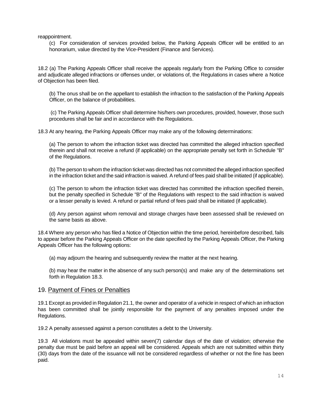reappointment.

(c) For consideration of services provided below, the Parking Appeals Officer will be entitled to an honorarium, value directed by the Vice-President (Finance and Services).

18.2 (a) The Parking Appeals Officer shall receive the appeals regularly from the Parking Office to consider and adjudicate alleged infractions or offenses under, or violations of, the Regulations in cases where a Notice of Objection has been filed.

(b) The onus shall be on the appellant to establish the infraction to the satisfaction of the Parking Appeals Officer, on the balance of probabilities.

(c) The Parking Appeals Officer shall determine his/hers own procedures, provided, however, those such procedures shall be fair and in accordance with the Regulations.

18.3 At any hearing, the Parking Appeals Officer may make any of the following determinations:

(a) The person to whom the infraction ticket was directed has committed the alleged infraction specified therein and shall not receive a refund (if applicable) on the appropriate penalty set forth in Schedule "B" of the Regulations.

(b) The person to whom the infraction ticket was directed has not committed the alleged infraction specified in the infraction ticket and the said infraction is waived. A refund of fees paid shall be initiated (if applicable).

(c) The person to whom the infraction ticket was directed has committed the infraction specified therein, but the penalty specified in Schedule "B" of the Regulations with respect to the said infraction is waived or a lesser penalty is levied. A refund or partial refund of fees paid shall be initiated (if applicable).

(d) Any person against whom removal and storage charges have been assessed shall be reviewed on the same basis as above.

18.4 Where any person who has filed a Notice of Objection within the time period, hereinbefore described, fails to appear before the Parking Appeals Officer on the date specified by the Parking Appeals Officer, the Parking Appeals Officer has the following options:

(a) may adjourn the hearing and subsequently review the matter at the next hearing.

(b) may hear the matter in the absence of any such person(s) and make any of the determinations set forth in Regulation 18.3.

#### 19. Payment of Fines or Penalties

19.1 Except as provided in Regulation 21.1, the owner and operator of a vehicle in respect of which an infraction has been committed shall be jointly responsible for the payment of any penalties imposed under the Regulations.

19.2 A penalty assessed against a person constitutes a debt to the University.

19.3 All violations must be appealed within seven(7) calendar days of the date of violation; otherwise the penalty due must be paid before an appeal will be considered. Appeals which are not submitted within thirty (30) days from the date of the issuance will not be considered regardless of whether or not the fine has been paid.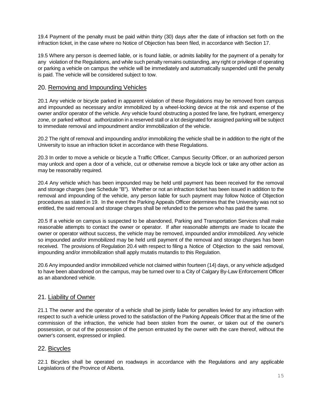19.4 Payment of the penalty must be paid within thirty (30) days after the date of infraction set forth on the infraction ticket, in the case where no Notice of Objection has been filed, in accordance with Section 17.

19.5 Where any person is deemed liable, or is found liable, or admits liability for the payment of a penalty for any violation of the Regulations, and while such penalty remains outstanding, any right or privilege of operating or parking a vehicle on campus the vehicle will be immediately and automatically suspended until the penalty is paid. The vehicle will be considered subject to tow.

#### 20. Removing and Impounding Vehicles

20.1 Any vehicle or bicycle parked in apparent violation of these Regulations may be removed from campus and impounded as necessary and/or immobilized by a wheel-locking device at the risk and expense of the owner and/or operator of the vehicle. Any vehicle found obstructing a posted fire lane, fire hydrant, emergency zone, or parked without authorization in a reserved stall or a lot designated for assigned parking will be subject to immediate removal and impoundment and/or immobilization of the vehicle.

20.2 The right of removal and impounding and/or immobilizing the vehicle shall be in addition to the right of the University to issue an infraction ticket in accordance with these Regulations.

20.3 In order to move a vehicle or bicycle a Traffic Officer, Campus Security Officer, or an authorized person may unlock and open a door of a vehicle, cut or otherwise remove a bicycle lock or take any other action as may be reasonably required.

20.4 Any vehicle which has been impounded may be held until payment has been received for the removal and storage charges (see Schedule "B"). Whether or not an infraction ticket has been issued in addition to the removal and impounding of the vehicle, any person liable for such payment may follow Notice of Objection procedures as stated in 19. In the event the Parking Appeals Officer determines that the University was not so entitled, the said removal and storage charges shall be refunded to the person who has paid the same.

20.5 If a vehicle on campus is suspected to be abandoned, Parking and Transportation Services shall make reasonable attempts to contact the owner or operator. If after reasonable attempts are made to locate the owner or operator without success, the vehicle may be removed, impounded and/or immobilized. Any vehicle so impounded and/or immobilized may be held until payment of the removal and storage charges has been received. The provisions of Regulation 20.4 with respect to filing a Notice of Objection to the said removal, impounding and/or immobilization shall apply mutatis mutandis to this Regulation.

20.6 Any impounded and/or immobilized vehicle not claimed within fourteen (14) days, or any vehicle adjudged to have been abandoned on the campus, may be turned over to a City of Calgary By-Law Enforcement Officer as an abandoned vehicle.

## 21. Liability of Owner

21.1 The owner and the operator of a vehicle shall be jointly liable for penalties levied for any infraction with respect to such a vehicle unless proved to the satisfaction of the Parking Appeals Officer that at the time of the commission of the infraction, the vehicle had been stolen from the owner, or taken out of the owner's possession, or out of the possession of the person entrusted by the owner with the care thereof, without the owner's consent, expressed or implied.

## 22. Bicycles

22.1 Bicycles shall be operated on roadways in accordance with the Regulations and any applicable Legislations of the Province of Alberta.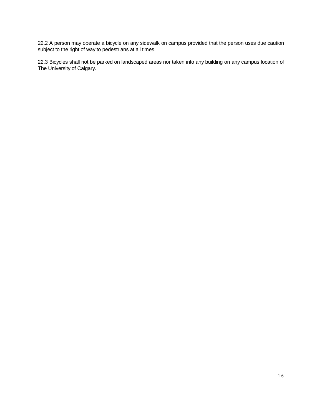22.2 A person may operate a bicycle on any sidewalk on campus provided that the person uses due caution subject to the right of way to pedestrians at all times.

22.3 Bicycles shall not be parked on landscaped areas nor taken into any building on any campus location of The University of Calgary.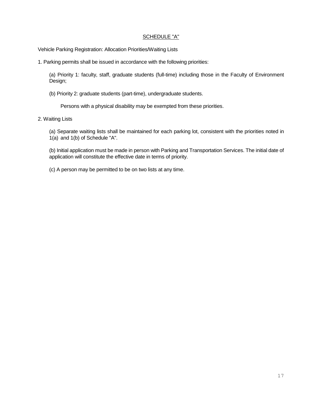#### SCHEDULE "A"

Vehicle Parking Registration: Allocation Priorities/Waiting Lists

1. Parking permits shall be issued in accordance with the following priorities:

(a) Priority 1: faculty, staff, graduate students (full-time) including those in the Faculty of Environment Design;

(b) Priority 2: graduate students (part-time), undergraduate students.

Persons with a physical disability may be exempted from these priorities.

2. Waiting Lists

(a) Separate waiting lists shall be maintained for each parking lot, consistent with the priorities noted in 1(a) and 1(b) of Schedule "A".

(b) Initial application must be made in person with Parking and Transportation Services. The initial date of application will constitute the effective date in terms of priority.

(c) A person may be permitted to be on two lists at any time.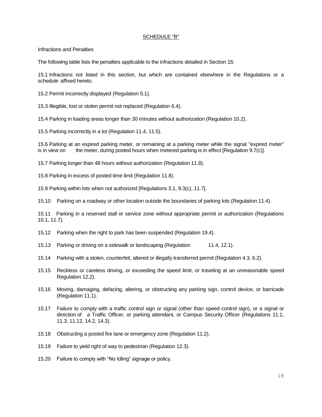#### SCHEDULE "B"

Infractions and Penalties

The following table lists the penalties applicable to the infractions detailed in Section 15:

15.1 Infractions not listed in this section, but which are contained elsewhere in the Regulations or a schedule affixed hereto.

15.2 Permit incorrectly displayed (Regulation 5.1).

15.3 Illegible, lost or stolen permit not replaced (Regulation 6.4).

15.4 Parking in loading areas longer than 30 minutes without authorization (Regulation 10.2).

15.5 Parking incorrectly in a lot (Regulation 11.4, 11.5).

15.6 Parking at an expired parking meter, or remaining at a parking meter while the signal "expired meter" is in view on the meter, during posted hours when metered parking is in effect [Regulation 9.7(c)].

15.7 Parking longer than 48 hours without authorization (Regulation 11.8).

15.8 Parking in excess of posted time limit (Regulation 11.8).

15.9 Parking within lots when not authorized [Regulations 3.1, 9.3(c), 11.7].

15.10 Parking on a roadway or other location outside the boundaries of parking lots (Regulation 11.4).

15.11 Parking in a reserved stall or service zone without appropriate permit or authorization (Regulations 10.1, 11.7).

15.12 Parking when the right to park has been suspended (Regulation 19.4).

- 15.13 Parking or driving on a sidewalk or landscaping (Regulation 11.4, 12.1).
- 15.14 Parking with a stolen, counterfeit, altered or illegally transferred permit (Regulation 4.3, 6.2).
- 15.15 Reckless or careless driving, or exceeding the speed limit, or traveling at an unreasonable speed Regulation 12.2).
- 15.16 Moving, damaging, defacing, altering, or obstructing any parking sign, control device, or barricade (Regulation 11.1).
- 15.17 Failure to comply with a traffic control sign or signal (other than speed control sign), or a signal or direction of a Traffic Officer, or parking attendant, or Campus Security Officer (Regulations 11.1, 11.3, 11.12, 14.2, 14.3).
- 15.18 Obstructing a posted fire lane or emergency zone (Regulation 11.2).
- 15.19 Failure to yield right of way to pedestrian (Regulation 12.3).
- 15.20 Failure to comply with "No Idling" signage or policy.